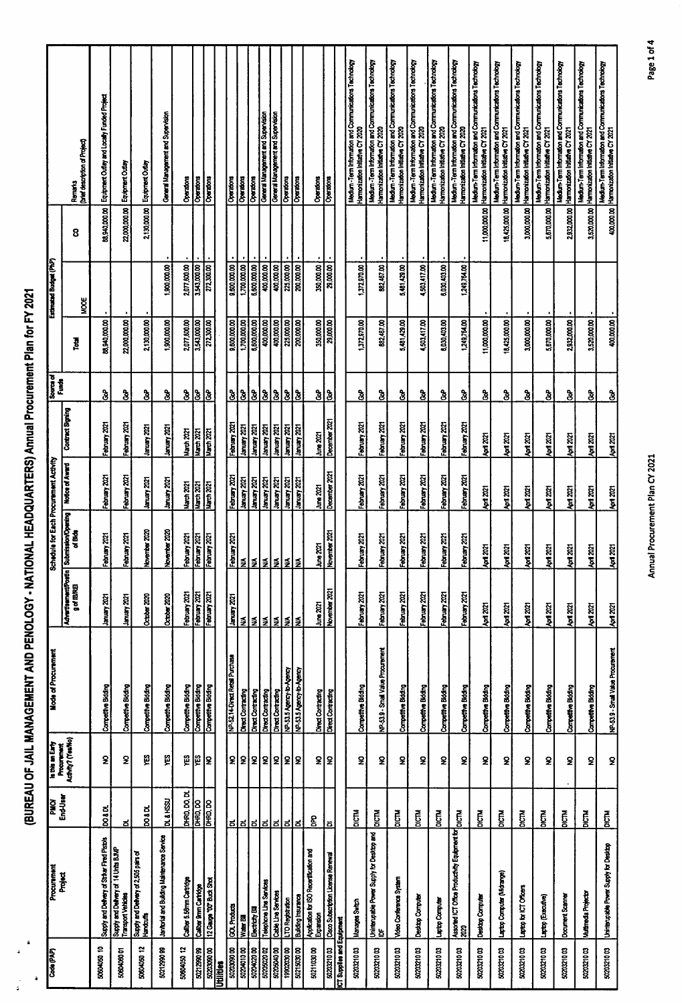| Code (PAP)               | Procurement                                                | <b>DNd</b>           |                                                      | <b>Mode of Procurement</b>        |                                                    |                                                 | Schedule for Each Procurement Activity |                     |                             |               | Estimated Budget (PhP) |               |                                                                                                      |
|--------------------------|------------------------------------------------------------|----------------------|------------------------------------------------------|-----------------------------------|----------------------------------------------------|-------------------------------------------------|----------------------------------------|---------------------|-----------------------------|---------------|------------------------|---------------|------------------------------------------------------------------------------------------------------|
|                          | Project                                                    | End-User             | is this an Early<br>Procurement<br>Acth/hy? (Yea/No) |                                   | AdvertsementPostin SubmissionOpering<br>g of IBRET | of Blds                                         | Notice of Award                        | Contract Signing    | į                           | ē             | ğ                      | 8             | Doleil description of Project<br>Remarks                                                             |
| 50604050 10              | Supply and Delivery of Striker Fired Pistols               | <b>posot</b>         | S                                                    | Competitive Bidding               | 1300 years                                         | ž.<br>February                                  | February 2021                          | February 2021       | ဒ္ဓိ                        | 88,940,000.00 |                        | 88,940,000.00 | Equipment Outlay and Locally Funded Project                                                          |
| 5060406001               | Supply and Delivery of 14 Units BJMP<br>Transport Vehicles | ಕ                    | $\pmb{2}$                                            | Competitive Bioding               | Istock kanner                                      | 70T<br>February                                 | February 2021                          | February 2021       | <u>ჭ</u>                    | 22,000,000.00 |                        |               | 22,000,000.00 Equipment Outlay                                                                       |
| 50604050 12              | Supply and Delivery of 2,505 pairs of<br>Handcuffs         | <b>posot</b>         | ę                                                    | Competitive Bidding               | October 2020                                       | November 2020                                   | <b>Lanuary 2021</b>                    | January 2021        | $\boldsymbol{\delta}$       | 2,130,000.00  |                        | 2,130,000.00  | Equipment Outlay                                                                                     |
| 5021299099               | Janitorial and Building Maintenance Service                | <b>DL &amp; HSSU</b> | Ë                                                    | Competitive Bidding               | October 2020                                       | November 2020                                   | <b>Soz</b> yanual                      | <b>Stock Kenner</b> | ģ                           | 1,900,000.00  | 1,900,000.00           |               | General Management and Supervision                                                                   |
| 50604050 12              | Caliber 5.58mm Cartridge                                   | DHRD, DO, DL         | ۴S                                                   | Competitive Bidding               | February 2021                                      | 70<br>February <sup>:</sup>                     | Narch 2021                             | Narch 2021          | $\mathbf{\hat{g}}$          | 2,077,600.00  | 2,077,600.00           |               | Operators                                                                                            |
| 5021299099               | Calber 9mm Cartidge                                        | <b>DHRD, DO</b>      | Į≌                                                   | Competitive Bidding               | February 2021                                      | February 2021                                   | March 2021                             | March 2021          | ઢે                          | 3,543,000.00  | 3,543,000.00           |               | Operations                                                                                           |
| 5020309000               | 12 Gauge "00" Buck Shot                                    | DHRO, DO             | 2                                                    | Competitive Bidding               | February 2021                                      | 阁<br>February                                   | March 2021                             | March 2021          | ြိ                          | 272,300.00    | 272,300.00             |               | Operations                                                                                           |
| <b>Hilties</b>           |                                                            |                      |                                                      |                                   |                                                    |                                                 |                                        |                     |                             |               |                        |               |                                                                                                      |
| 502030300                | GOL Products                                               |                      | $\mathbf{g}$                                         | NP-52.14-Direct Retail Purchase   | <b>Banuary 2021</b>                                | ន្ត<br>February                                 | February 2021                          | February 2021       | <u>है है</u>                | 9,500,000.00  | 9,500,000.00           |               | Operations                                                                                           |
| 5020401000               | Water Bill                                                 |                      |                                                      | Direct Contracting                |                                                    |                                                 | <b>COZ Venuel</b>                      | <b>Roz Amuer</b>    |                             | 1,700,000.00  | 1,700,000.00           |               | Operations                                                                                           |
| 5020402000               | <b>Electricity Bill</b>                                    |                      |                                                      | Direct Contracting                |                                                    |                                                 | <b>Roz Ammer</b>                       | <b>Roz Kenner</b>   | $\frac{3}{8}$               | 6,600,000,00  | 6,600,000.00           |               | Operators                                                                                            |
| ಕಂಡಾಂಡ                   | Telephone Line Services                                    |                      |                                                      | Direct Contracting                |                                                    |                                                 | <b>KDZ Asnuel</b>                      | <b>KDZ Kenner</b>   |                             | 400,000       | 400,000.00             |               | General Management and Supervision                                                                   |
| 5020504000               | Cable Line Services                                        | <u>ಕ ಕ ಕ ಕ ಕ ಕ</u>   | 외외외의                                                 | Direct Contracting                | ≸ ≸ ≸ ≸                                            | <u>≨ ≸ ≸ ≸</u>                                  | <b>COZ</b> Yanuary                     | <b>130x</b> yearst  | გ                           | 00.000.00     | 400,000 00             |               | General Management and Supervision                                                                   |
| 199203000                | LTO Registration                                           |                      |                                                      | NP-53.5 Agency-to-Agency          |                                                    |                                                 | 1302 yearst                            | <b>EDE Amush</b>    | ჭ                           | 225,000.00    | 225,000.00             |               | Operations                                                                                           |
| 5021503000               | Building Insurance                                         | <u>ದ</u>             | l2                                                   | NP-53.5 Agency-to-Agency          | l≸                                                 | ÌЙ,                                             | <b>Stock America</b>                   | <b>SOC Ammer</b>    | $\overline{\mathbf{3}}$     | 200,000.00    | 200,000.00             |               | <b>Decaions</b>                                                                                      |
| 5021103000               | Application for ISO Recentification and<br>Expansion       | g                    |                                                      | Direct Contracting                | June 2021                                          |                                                 | June 2021                              | June 2021           | ဒ္ဓ                         | 350,000.00    | 350,000.00             |               | <b>Operatons</b>                                                                                     |
| 5020321003               | Cisco Subacription License Renewal                         | õ                    | 외                                                    | Direct Contracting                | November 2021                                      | $\frac{\text{June 2021}}{\text{November 2021}}$ | December 2021                          | December 2021       | $\overline{\mathbf{3}}$     | 29,000.00     | 29,000.00              |               | Operations                                                                                           |
| T Supplies and Equipment |                                                            |                      |                                                      |                                   |                                                    |                                                 |                                        |                     |                             |               |                        |               |                                                                                                      |
| 5020321003               | Manages Switch                                             | <b>DICTM</b>         | $\pmb{2}$                                            | Competitive Bidding               | February 2021                                      | ä<br>February                                   | February 2021                          | February 2021       | နွ                          | 1,372,970.00  | 1,372,970.00           |               | Medium -Term Information and Communications Technology<br>Harmonization Initiative CY 2020           |
| 5020321003               | Uninterupable Power Supply for Destapp and<br>험            | <b>DICTM</b>         | ş                                                    | NP-53.9 - Small Value Procurement | February 2021                                      | 2021<br>February                                | February 2021                          | February 2021       | ဒ္ဓ                         | 882,457.00    | 882,467.00             |               | Medium -Term Information and Communications Technology<br>Harmonization Initiative CY 2020           |
| 5020321003               | Video Conference System                                    | $\tilde{E}$          | S                                                    | Competitive Bidding               | February 2021                                      | $\overline{\mathbf{z}}$<br>February             | February 2021                          | February 2021       | <u>ჭ</u>                    | 5,481,429.00  | 5,481,429.00           |               | Medium - Term Information and Communications Technology<br>Harmonization Initiative CY 2020          |
| 5020321003               | Destop Computer                                            | <b>E</b><br>Dig      | $\pmb{2}$                                            | Competitive Bidding               | February 2021                                      | $\overline{2}$<br><b>February</b>               | February 2021                          | February 2021       | <u>ჭ</u>                    | 4,503,417.00  | 4,503,417.00           |               | Medium -Term Information and Communications Technology<br>Harmonization Initiative CY 2020           |
| 5020321003               | Laptop Computer                                            | <b>DICTM</b>         | $\mathbf 2$                                          | Competitive Bidding               | February 2021                                      | er.<br>February                                 | February 2021                          | February 2021       | $\boldsymbol{\mathfrak{z}}$ | 6,030,403.00  | 6,030,403.00           |               | Medium -Term Information and Communications Technology<br>Hamonization Initiative CY 2020            |
| 5020321003               | Assorted ICT Office Productivity Equipment for<br>2020     | $\overline{5}$       | $\overline{\mathbf{z}}$                              | Competitive Bidding               | February 2021                                      | ize.<br>February                                | February 2021                          | February 2021       | နွ                          | 1,249,764.00  | 1,249,764.00           |               | Medium-Term Information and Communications Technology<br>Harmonization Initiative CY 2020            |
| 5020321003               | Destop Computer                                            | $\mathbf{\tilde{g}}$ | 2                                                    | Competitive Bidding               | April 2021                                         | <b>April 2021</b>                               | April 2021                             | April 2021          | နွ                          | 11,000,000.00 |                        | 11,000,000.00 | Medium-Term Information and Communications Technology<br>Harmonization Initiative CY 2021            |
| 5020321003               | Laptop Computer (Michange)                                 | <b>NGM</b>           | £                                                    | Competitive Bidding               | April 2021                                         | <b>April 2021</b>                               | April 2021                             | April 2021          | ş                           | 18,425,000.00 |                        | 18,425,000.00 | Medium-Term Information and Communications Technology<br>Harronization Initiative CY 2021            |
| 5020321003               | aptop for ICT Officers                                     | <b>DICTM</b>         | S                                                    | Competitive Bidding               | <b>April 2021</b>                                  | April 2021                                      | April 2021                             | April 2021          | $\boldsymbol{\mathfrak{z}}$ | 3,000,000.00  |                        | 3,000,000.00  | Medium-Term Information and Communications Technology<br>Harmonization Initiative CY 2021            |
| 5020321003               | Laptop (Executive)                                         | <b>DICTM</b>         | S                                                    | Competitive Bidding               | <b>Apd 2021</b>                                    | <b>April 2021</b>                               | April 2021                             | April 2021          | ş                           | 5,670,000.00  |                        | 5,670,000.00  | Medium-Term Information and Communications Technology<br>Harmonization Initiative CY 2021            |
| 5020321003               | Document Scanner                                           | DICTM                | S                                                    | Competitive Bidding               | April 2021                                         | April 2021                                      | <b>April 2021</b>                      | April 2021          | કે                          | 2,932,000.00  |                        | 2,932,000.00  | Medium-Term Information and Communications Technology<br>Harmonization Initiative CY 2021            |
| 5020321003               | Mutimedia Projector                                        | <b>DICTM</b>         | $\mathbf 2$                                          | Competitive Bidding               | April 2021                                         | April 2021                                      | April 2021                             | April 2021          | နွ                          | 3,520,000.00  |                        | 3,520,000.00  | Medium-Term Information and Communications Technology<br>Harmonization Initiative CY 2021            |
| 5020321003               | Unimerupable Power Supply for Desktop                      | $\vec{E}$            | $\mathbf 2$                                          | NP-53.9 - Small Value Procurement | Aprt 2021                                          | $km$ 2021                                       | April 2021                             | April 2021          | $\frac{3}{8}$               | 400,000.00    |                        |               | Medium-Term Information and Communications Technology<br>400,000.00 Harmonization Initiative CY 2021 |

(BUREAU OF JAIL MANAGEMENT AND PENOLOGY - NATIONAL HEADQUARTERS) Annual Procurement Plan for FY 2021

Annual Procurement Plan CY 2021

Page 1 of 4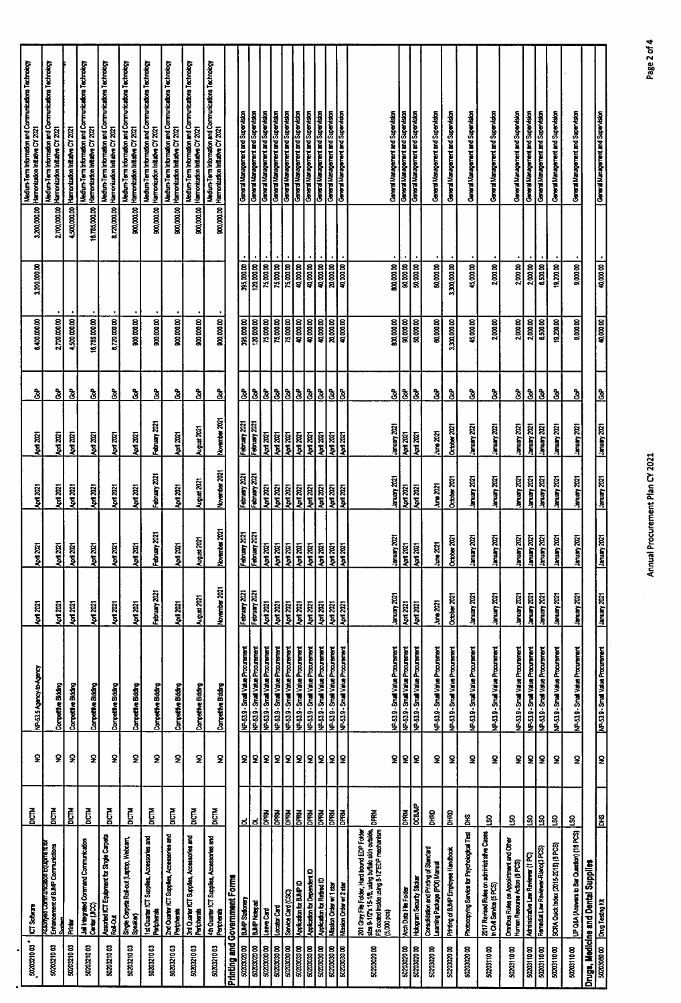| 5020221003               | ICT Software                                                                                                                                                | <b>CR</b>     | S                  | NP-53.5 Agency-to-Agency                                              | <b>April 2021</b>                      | <b>April 2021</b>                      | April 2021                                                                                                                                                                                                                                                                       | April 2021                             | <u> š</u>                  | 6,400,000.00           | 3,200,000.00           | 3,200,000.00  | Medium-Term Information and Communications Technology<br>Harmonization Initiative CY 2021 |
|--------------------------|-------------------------------------------------------------------------------------------------------------------------------------------------------------|---------------|--------------------|-----------------------------------------------------------------------|----------------------------------------|----------------------------------------|----------------------------------------------------------------------------------------------------------------------------------------------------------------------------------------------------------------------------------------------------------------------------------|----------------------------------------|----------------------------|------------------------|------------------------|---------------|-------------------------------------------------------------------------------------------|
| 5020321003               | ssoryed Communication Equipment for<br>Enhancement of BJMP Communictions<br>j                                                                               | DICTM         | 2                  | Competitive Bidding                                                   | April 2021                             | <b>April 2021</b>                      | <b>Apd 2021</b>                                                                                                                                                                                                                                                                  | April 2021                             | <u>ჭ</u>                   | 2,700,000.00           |                        | 2,700,000.00  | Medium-Term Information and Communications Technology<br>Harmonization Initiative CY 2021 |
| 5020321003               | i<br>Minis                                                                                                                                                  | <b>TO</b>     | £                  | Competitive Bidding                                                   | April 2021                             | April 2021                             | <b>April 2021</b>                                                                                                                                                                                                                                                                | <b>April 2021</b>                      | <u>ჭ</u>                   | 4,500,000.00           |                        | 4,500,000.00  | Hamonization Initiative CY 2021                                                           |
| 500321003                | Jail Integrated Command Communication<br>Center (JICC)                                                                                                      | <b>DICTM</b>  | s                  | Competitive Bidding                                                   | April 2021                             | M221                                   | <b>April 2021</b>                                                                                                                                                                                                                                                                | <b>April 2021</b>                      | <u>ჭ</u>                   | 16,785,000.00          |                        | 16,785,000.00 | Medium-Term Information and Communications Technology<br>Harmonization Initiative CY 2021 |
| 5020321003               | Assorted ICT Equipment for Single Carpeta<br>Roll-Out                                                                                                       | $\vec{E}$     | ş.                 | Competitive Bidding                                                   | <b>April 2021</b>                      | April 2021                             | April 2021                                                                                                                                                                                                                                                                       | <b>April 2021</b>                      | <u>ჭ</u>                   | 8.720,000.00           |                        | 8,720,000.00  | Medium-Term Information and Communications Technology<br>Hamonization Initiative CY 2021  |
| 5020321003               | Single Carpeta Roll-out (Laptop, Webcarn,<br>Speaker)                                                                                                       | DICTM         | £                  | Competitive Bidding                                                   | <b>April 2021</b>                      | <b>April 2021</b>                      | Aprt 2021                                                                                                                                                                                                                                                                        | <b>April 2021</b>                      | န္ခ                        | 800,000.00             |                        | 900,000.00    | Medium-Term Information and Communications Technology<br>Harmonization Initiative CY 2021 |
| 5022321003               | 1st Quarter ICT Supplies, Accessories and<br>Peripherals                                                                                                    | <b>DICTM</b>  | s                  | Competitive Bidding                                                   | February 2021                          | February 2021                          | February 2021                                                                                                                                                                                                                                                                    | February 2021                          | ွဲ                         | 900,000.00             |                        | 900,000.00    | Medium-Term Information and Communications Technology<br>Harmonization Initiative CY 2021 |
| 5020321003               | 2nd Quarter ICT Supplies, Accessories and<br>Peripherats                                                                                                    | DICTM         | $\mathbf 2$        | Competitive Bidding                                                   | April 2021                             | April 2021                             | April 2021                                                                                                                                                                                                                                                                       | April 2021                             | $\mathbf{\hat{z}}$         | 900,000.00             |                        | 900,000.00    | Medium-Term Information and Communications Technology<br>Harmonization Initiative CY 2021 |
| 5020321003               | 3rd Quarter ICT Supplies, Accessories and<br>Peripherals                                                                                                    | $\vec{E}$     | š                  | Competitive Bidding                                                   | August 2021                            | August 2021                            | August 2021                                                                                                                                                                                                                                                                      | August 2021                            | <u>ჭ</u>                   | 900,000.00             |                        | 900,000.00    | Medium-Term Information and Communications Technology<br>Harmonization Initiative CY 2021 |
| 5020321003               | 4th Quarter ICT Supplies, Accessories and<br>Peripherate                                                                                                    | <b>PICTM</b>  | S                  | Competitive Bidding                                                   | November 2021                          | November 2021                          | November 2021                                                                                                                                                                                                                                                                    | November 2021                          | <u>ჭ</u>                   | 800,000.00             |                        | 900,000.00    | Medium-Term Information and Communications Technology<br>Harmonization Intitative CY 2021 |
| hiting and               | Government Forms                                                                                                                                            |               |                    |                                                                       |                                        |                                        |                                                                                                                                                                                                                                                                                  |                                        |                            |                        |                        |               |                                                                                           |
| 5020302000               | BJMP Stationery                                                                                                                                             | ಕ             | 외                  | NP-53.9 - Small Value Procurement                                     | February 2021                          | February 2021                          | February 2021                                                                                                                                                                                                                                                                    | February 2021                          | 3                          | 395,000.00             | 395,000.00             |               | General Management and Supervision                                                        |
| 5020302000               | <b>BJMP Notepad</b>                                                                                                                                         | ಕ             | 외의                 | NP-539 - Small Value Procurement                                      | February 2021                          | February 2021                          | February 2021                                                                                                                                                                                                                                                                    | February 2021                          | 3                          | 120,000.00             | 120,000.00             |               | General Management and Supervision                                                        |
| 50203030                 | Leave Card                                                                                                                                                  | DPRM          |                    | NP-53.9 - Smail Value Procurement                                     | <b>April 2021</b>                      | April 2021                             | 14012021                                                                                                                                                                                                                                                                         | April 2021                             | $\mathbf{B}$               | 75,000.00              | 75,000.00              |               | General Management and Supervision                                                        |
| 5020303000               | Locator Card                                                                                                                                                | <b>Road</b>   | ഉ                  | NP-53.9 - Small Value Procurement                                     | <b>April 2021</b>                      | <b>April 2021</b>                      | <b>April 2021</b>                                                                                                                                                                                                                                                                | <b>Kod 2021</b>                        | ಕಿ                         | 00'00'52               | 75,000.00<br>75,000.00 |               | General Management and Supervision<br>General Management and Supervision                  |
| 5020303000<br>5020303000 | Application for BJMP ID<br>Service Card (CSC)                                                                                                               | DPRM<br>DPRU  | 12                 | NP-53.9 - Small Value Procurement<br>NP-539 - Small Value Procurement | <b>April 2021</b><br><b>April 2021</b> | <b>April 2021</b><br><b>April 2021</b> | <b>1202 poly</b>                                                                                                                                                                                                                                                                 | <b>April 2021</b><br><b>April 2021</b> |                            | 75,000,00<br>40,000.00 | 40,000.00              |               | General Management and Supervision                                                        |
| 50203000                 | Application for Dependent ID                                                                                                                                | DPRM          |                    | NP-539 - Small Value Procurement                                      | $\frac{1}{2}$                          | <b>April 2021</b>                      | $\frac{1}{2}$<br>$\frac{1}{2}$<br>$\frac{1}{2}$<br>$\frac{1}{2}$<br>$\frac{1}{2}$<br>$\frac{1}{2}$<br>$\frac{1}{2}$<br><br>$\frac{1}{2}$<br><br><br><br><br><br><br><br><br><br><br><br><br><br><br><br><br><br><br><br><br><br><br><br><br><br><br><br><br><br><br><br><br><br> | $\frac{1}{2}$                          |                            | 40,000.00              | 40,000.00              |               | General Management and Supervision                                                        |
| 5020303000               | Application for Retired ID                                                                                                                                  | <b>Mad</b>    | 외외의                | NP-539 - Small Value Procurement                                      | $\frac{20}{20}$                        | $\frac{1}{2}$                          | April 2021                                                                                                                                                                                                                                                                       | April 2021                             | <u> 3 3 3 3</u>            | 40,000.00              | 40,000.00              |               | General Management and Supervision                                                        |
| 5020303000               | Mission Order w/1 star                                                                                                                                      | <b>DPRM</b>   | 읽                  | NP-53.9 - Small Value Procurement                                     | <b>1202 pov</b>                        | <b>ROZ 10Y</b>                         | IZOZ BOV                                                                                                                                                                                                                                                                         | <b>April 2021</b>                      | $\boldsymbol{\mathcal{S}}$ | 20,000.00              | 20,0000                |               | General Management and Supervision                                                        |
| 50203030                 | Mission Order w/ 2 star                                                                                                                                     | DPRM          |                    | NP-539 - Small Value Procurement                                      | April 2021                             | <b>April 2021</b>                      | <b>April 2021</b>                                                                                                                                                                                                                                                                | April 2021                             | g                          | 40,000.00              | 40,000.00              |               | General Management and Supervision                                                        |
| 5020302000               | size 9-1/2"x 15-1/8, using buffalo skin outside,<br>FS coated inside using 8-12"EDP mechanism<br>201 Gray File Folder, Hard bound EDP Folder<br>(5,000 pcs) | DPRM          | $\mathbf{S}$       | NP-53.9 - Small Value Procurement                                     | 1502 Yanuari                           | <b>Convert</b>                         | Stock American                                                                                                                                                                                                                                                                   | <b>SOZ Venuel</b>                      | $\delta$                   | 600,000.00             | 00,000,000             |               | General Management and Supervision                                                        |
| $\frac{1}{2}$            | Arch Data File Folder                                                                                                                                       | <b>DPRN</b>   |                    | NP-53.9 - Small Value Procurement                                     | April 2021                             | April 2021                             | <b>April 2021</b>                                                                                                                                                                                                                                                                | $M = 2021$                             | eo)                        | 80,000.00              | 90,000.00              |               | General Management and Supervision                                                        |
| $\frac{1}{\sin x}$       | Hologram Security Sticker                                                                                                                                   | divisoo       | 외                  | NP-53.9 - Smail Value Procurement                                     | April 2021                             | <b>April 2021</b>                      | <b>April 2021</b>                                                                                                                                                                                                                                                                | April 2021                             | $\binom{3}{2}$             | 50,000.00              | 50,000.00              |               | General Management and Supervision                                                        |
| 5020302000               | Consolidation and Printing of Standard<br>Learning Package (POI) Manual                                                                                     | <b>Dako</b>   | ş                  | NP-53.9 - Small Value Procurement                                     | June 2021                              | June 2021                              | June 2021                                                                                                                                                                                                                                                                        | June 2021                              | နွ                         | 60,000.00              | 60,000.00              |               | General Management and Supervision                                                        |
| 5020302000               | Printing of BJMP Employee Handbook                                                                                                                          | $\frac{5}{5}$ | $\mathbf{S}$       | NP-53.9 - Small Value Procurement                                     | October 2021                           | October 2021                           | October 2021                                                                                                                                                                                                                                                                     | October 2021                           | $\delta$                   | 3,300,000.00           | 3,300,000.00           |               | General Management and Supervision                                                        |
| 5020302000               | Photocopying Service for Psychological Test                                                                                                                 | $\frac{2}{5}$ | ş                  | NP-53.9 - Small Value Procurement                                     | <b>January 2021</b>                    | <b>January 2021</b>                    | <b>January 2021</b>                                                                                                                                                                                                                                                              | <b>Society</b> 2021                    | နွ                         | 45,000.00              | 45,000.00              |               | General Management and Supervision                                                        |
| 5020311000               | 2017 Revised Rules on administrative Cases<br>in Civil Service (5 PCS)                                                                                      | 8             | $\mathbf 2$        | NP-53.9 - Small Value Procurement                                     | 1smuary 2021                           | <b>Stockman</b>                        | <b>Sociational</b>                                                                                                                                                                                                                                                               | <b>Stock American</b>                  | နွ                         | 2,000.00               | 2,000.00               |               | General Management and Supervision                                                        |
| 502031000                | Omnibus Rules on Appointment and Other<br>Human Resourse Action (5 PCS)                                                                                     | 8             | S                  | NP-53.9 - Smail Value Procurement                                     | <b>SOZ Venuel</b>                      | <b>Stockholmer</b>                     | <b>SOZ</b> Venuel                                                                                                                                                                                                                                                                | <b>PSOZ Yanual</b>                     | $\frac{3}{8}$              | 2,000.00               | 2,000.00               |               | General Management and Supervision                                                        |
| 5020311000               | Administrative Law Reviewer (1 PC)                                                                                                                          | 8             | $\mathbf{S}$       | NP-53.9 - Small Value Procurement                                     | 1smuary 2021                           | <b>hour years</b>                      | 13muary 2021                                                                                                                                                                                                                                                                     | January 2021                           | $\frac{3}{8}$              | 2,000.00               | 2,000.00               |               | General Management and Supervision                                                        |
| 5020311000               | Remedial Law Reviewer-Riano(3 PCS)                                                                                                                          | 8             | l S                | NP-53.9 - Small Value Procurement                                     | <b>January 2021</b>                    | <b>LCC Amuer</b>                       | 1sory 2021                                                                                                                                                                                                                                                                       | January 2021                           | 8 <sup>o</sup>             | 6,500.00               | 6,500.00               |               | General Management and Supervision                                                        |
| 5020311000               | SCRA Quick Index (2015-2018) (8 PCS)                                                                                                                        | န္ဒ           | $\pmb{\mathsf{S}}$ | NP-53.9 - Smail Value Procurement                                     | <b>SSX Ammer</b>                       | hour young!                            | January 2021                                                                                                                                                                                                                                                                     | January 2021                           | $\boldsymbol{\mathcal{S}}$ | 19,200.00              | 19,200.00              |               | General Management and Supervision                                                        |
| 5020311000               | UP Q&A (Answers to Bar Question) (16 PCS)                                                                                                                   | $\mathbf 8$   | ş                  | NP-53.9 - Small Value Procurement                                     | January 2021                           | <b>Soz</b> Yemer                       | <b>Lanuary 2021</b>                                                                                                                                                                                                                                                              | 1smuary 2021                           | $\frac{3}{8}$              | 9,000.00               | 9,000.00               |               | General Management and Supervision                                                        |
|                          | <b>hrugs, Medicine and Dental Supplies</b>                                                                                                                  |               |                    |                                                                       |                                        |                                        |                                                                                                                                                                                                                                                                                  |                                        |                            |                        |                        |               |                                                                                           |
|                          | 5020308000 Drug Testing Kit                                                                                                                                 | <b>SKO</b>    | l                  | NP-53.9 - Small Value Procurement                                     | SDC Lenner                             | $\limsup_{x\to 0} \frac{1}{2}$         | $\frac{1}{2}$                                                                                                                                                                                                                                                                    | $\frac{1}{2}$                          | 80                         | 100000                 | 40,000.00              |               | General Management and Supervision                                                        |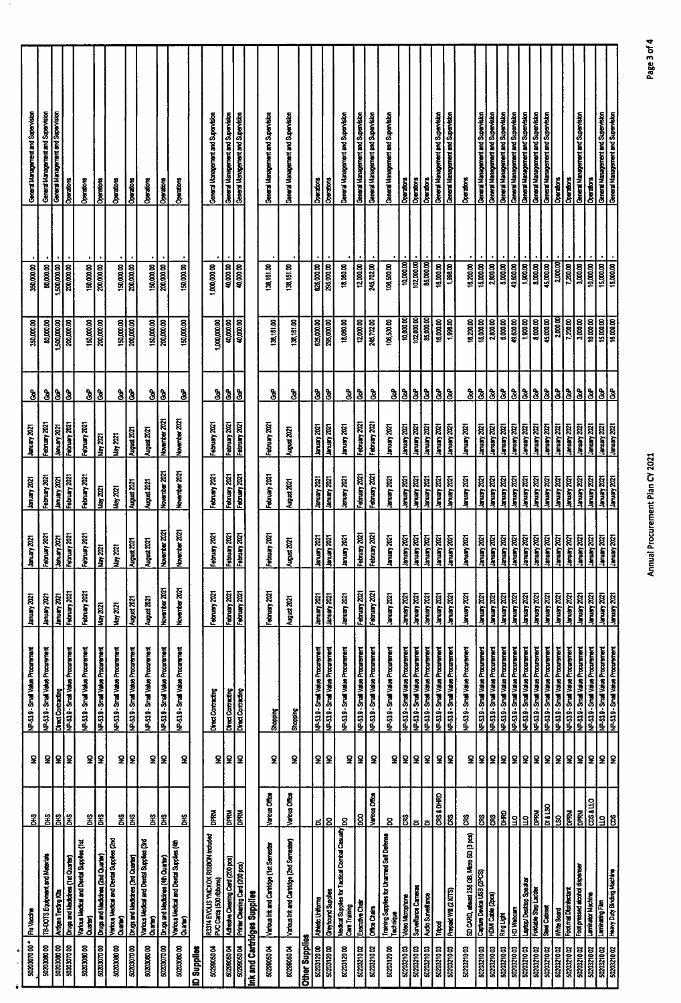| - 00 0020202                    | <b>Flu Vaccine</b>                                             | ž                     | £                       | NP-53.9 - Small Value Procurement                                                   | January 2021                        | 1smuary 2021                                                                                                                           | <b>SOC Asnuel</b>                         | <b>Isology</b>                                      | <u>ჭ</u>                | 350,000.00                    | 350,000.00                            |                   | General Management and Supervision                                        |
|---------------------------------|----------------------------------------------------------------|-----------------------|-------------------------|-------------------------------------------------------------------------------------|-------------------------------------|----------------------------------------------------------------------------------------------------------------------------------------|-------------------------------------------|-----------------------------------------------------|-------------------------|-------------------------------|---------------------------------------|-------------------|---------------------------------------------------------------------------|
| 5020300000                      | TB-DOTS Equipment and Materials                                |                       |                         | NP-53.9 - Small Value Procurement                                                   | 1502 years                          | February 2021                                                                                                                          | February 2021                             | February 2021                                       |                         | 80,000.00                     | 80,000.00                             |                   | General Management and Supervision                                        |
| $\frac{1}{2}$                   | Antigen Testing Kits                                           | $\frac{2}{5}$         | 외의                      | Direct Contracting                                                                  | <b>Tax Sanual</b>                   | January 2021<br>February 2021                                                                                                          | 130x yaunel                               | hanuary 2021                                        |                         | 1,500,000.00                  | 00.000,005                            |                   | General Management and Supervision                                        |
| 5020307000                      | Drugs and Medicines (1st Quarter)                              | ឪ                     |                         | VP-53.9 - Small Value Procurement                                                   | February 2021                       |                                                                                                                                        | February 2021                             | February 2021                                       | $\frac{3}{5}$           | 200,000.00                    | 200,000.00                            | Operations        |                                                                           |
| 5020308000                      | Various Medical and Dental Supplies (1st<br>Quarter)           | g                     | S                       | NP-53.9 - Small Value Procurement                                                   | February 2021                       | February 2021                                                                                                                          | February 2021                             | February 2021                                       | $\mathbf{\hat{3}}$      | 150,000.00                    | 150,000.00                            | Operations        |                                                                           |
|                                 | Drugs and Medicines (2nd Quarter)                              | g                     | g                       | NP-53.9 - Smail Value Procurement                                                   | May 2021                            | <b>Nay 2021</b>                                                                                                                        | Nay 2021                                  | May 2021                                            | $\delta$                | 200,000.00                    | 200,000.00                            | Operations        |                                                                           |
| 5020308000                      | Various Medical and Dental Supplies (2nd<br>Quarter)           | g                     | $\pmb{2}$               | NP-53.9 - Small Value Procurement                                                   | May 2021                            | Nay 2021                                                                                                                               | Nay 2021                                  | May 2021                                            |                         | 150,000.00                    | 150,000.00                            | Operations        |                                                                           |
| 5020307000                      | Drugs and Medicines (3rd Quarter)                              | $\frac{2}{5}$         | £                       | NP-53.9 - Small Value Procurement                                                   | August 2021                         | August 2021                                                                                                                            | August 2021                               | August 2021                                         | $\frac{3}{8}$           | 200,000.00                    | 200,000.00                            | Operators         |                                                                           |
| 5020308000                      | Various Medical and Dental Supplies (3rd<br>Quarter)           | $\mathbf{\tilde{g}}$  | S                       | NP-53.9 - Small Value Procurement                                                   | August 2021                         | August 2021                                                                                                                            | August 2021                               | August 2021                                         | $\mathbf{\hat{8}}$      | 150,000.00                    |                                       | Operations        |                                                                           |
| 5020307000                      | Drugs and Medicines (4th Quarter)                              | $\frac{2}{5}$         | <b>2</b>                | NP-53.9 - Small Value Procurement                                                   | November 2021                       | November 2021                                                                                                                          | November 2021                             | November 2021                                       | 8                       | 00.000.002                    | $\frac{150,00000}{200,00000}$         | Operations        |                                                                           |
| 5020308000                      | Various Medical and Dental Supplies (4th<br>Quant)             | ÎЯ                    | S                       | NP-53.9 - Small Value Procurement                                                   | November 2021                       | ន្ត<br>November                                                                                                                        | November 2021                             | November 2021                                       | $\mathbf{\hat{3}}$      | 150,000.00                    | 150,000.00                            | Creations         |                                                                           |
| Supplies                        |                                                                |                       |                         |                                                                                     |                                     |                                                                                                                                        |                                           |                                                     |                         |                               |                                       |                   |                                                                           |
| 5029905004                      | R3314 EVOLIS YMCKOK RIBBON Included<br>PVC Cards (500 ribbons) | <b>RAN</b>            | S                       | Direct Contracting                                                                  | February 2021                       | February 2021                                                                                                                          | February 2021                             | February 2021                                       | $\mathbf{3}$            | 1,000,000.00                  | ,000,000.00                           |                   | General Management and Supervision                                        |
| 5029905004                      | Adhesive Cleaning Card (200 pcs)                               | <b>INAdO</b>          | 2                       | Direct Contracting                                                                  | February 2021                       | February 2021<br>February 2021                                                                                                         | February 2021                             | February 2021<br>February 2021                      | <u>  s   s</u>          | 40,000.00                     | 40,000.00                             |                   | General Management and Supervision<br>(General Management and Supervision |
| 5029905004                      | Printer Cleaning Card (200 pcs)                                | <b><i>N</i>&amp;d</b> | l S                     | Direct Contracting                                                                  | February 2021                       |                                                                                                                                        | February 2021                             |                                                     |                         |                               | 100000                                |                   |                                                                           |
|                                 | nk and Cartridges Supplies                                     |                       |                         |                                                                                     |                                     |                                                                                                                                        |                                           |                                                     |                         |                               |                                       |                   |                                                                           |
| 5029905004                      | Various link and Cartidge (1st Semester                        | Various Office        | S                       | Shopping                                                                            | February 2021                       | February 2021                                                                                                                          | February 2021                             | February 2021                                       | နွ                      | 138,161.00                    | 138,161.00                            |                   | General Management and Supervision                                        |
| 50299050 04                     | Various Ink and Cartidge (2nd Sernester)                       | Various Office        | S                       | <b>Shopping</b>                                                                     | August 2021                         | August 2021                                                                                                                            | August 2021                               | August 2021                                         | ઙ                       | 138,161.00                    | 138,161.00                            |                   | General Management and Supervision                                        |
| <b>Xher Supplies</b>            |                                                                |                       |                         |                                                                                     |                                     |                                                                                                                                        |                                           |                                                     |                         |                               |                                       |                   |                                                                           |
| 5020312000                      | Athletic Uniforms                                              | ಕ                     | $\overline{\mathbf{2}}$ | NP-53.9 - Smail Value Procurement                                                   | <b>Stockenmen</b>                   | January 2021                                                                                                                           | 1sox Amangr                               | <b>Stock Kenner</b>                                 | $\mathbf{\hat{z}}$      | 625,000.00                    | 625,000.00                            | Operations        |                                                                           |
| 5020312000                      | Greyhound Supplies                                             | 8                     | l2                      | NP-53.9 - Small Value Procurement                                                   | <b>SOC Venuel</b>                   | <b>Hoor Summer</b>                                                                                                                     | 1300 yawat                                | <b>Lanuary 2021</b>                                 | $60^{\circ}$            | 295,000.00                    | 295,000.00                            | Operations        |                                                                           |
| 5020312000                      | Medical Supplies for Tactical Combal Casuaty<br>Care Training  | 8                     | $\overline{\mathbf{S}}$ | NP-53.9 - Small Value Procurement                                                   | <b>Stockensel</b>                   | hanuary 2021                                                                                                                           | <b>Sock Amary</b>                         | 1sos yaunal                                         | $\mathbf{\hat{3}}$      | 18,080.00                     | 18,060.00                             |                   | General Management and Supervision                                        |
|                                 | Executive Chair                                                | 8 <sup>o</sup>        | $\pmb{\mathsf{S}}$      | NP-53.9 - Small Value Procurement                                                   | February 2021                       | February 2021                                                                                                                          | February 2021                             | February 2021                                       | $\overline{\mathbf{3}}$ | $\frac{1}{200000}$            | 12,000.00                             |                   | General Management and Supervision                                        |
| 5020321002                      | <b>Office Chairs</b>                                           | Various Office        | S                       | NP-53.9 - Small Value Procurement                                                   | February 2021                       | February 2021                                                                                                                          | February 2021                             | February 2021                                       | <u> ಶಿ</u>              | 245,702.00                    | 245,702.00                            |                   | General Management and Supervision                                        |
| 5020312000                      | Training Supplies for Unarmed Self Defense<br>Technique        | 8                     | 옾                       | NP-53.9 - Small Value Procurement                                                   | January 2021                        | January 2021                                                                                                                           | 13mary 2021                               | <b>SOZ Kenner</b>                                   | $\mathbf{\hat{s}}$      | 106,500.00                    | 106,500.00                            |                   | General Management and Supervision                                        |
| $\frac{1}{200021000}$           | Video Microphone                                               | CRS                   |                         | NP-53.9 - Small Value Procurement                                                   | <b>SOS yasmal</b>                   |                                                                                                                                        | January 2021                              | <b>COZ Kenner</b>                                   |                         | 10,000.00                     | 10,000.00                             | Coerations        |                                                                           |
| 5020321003<br>5020321003        | Surveillance Carneras                                          | គ                     | 외외                      | NP-53.9 - Small Value Procurement                                                   | <b>January 2021</b><br>1202 Yanuary | <u>  January 2021</u><br>  January 2021<br>  January 2021<br>  January 2021<br>  January 2021                                          | 1202 yearsh<br>1302 years.                | <b>S202 Ammer</b><br><b>Stockenmen</b>              | 333                     | 102,000.00<br>85,000.00       | $\frac{100000}{1000000}$<br>85,000.00 | Operations        |                                                                           |
| 5020321003                      | Audio Surveillance<br>Tripod                                   | CRS & DHRD<br>õ       | $\mathbf{R}$            | NP-53.9 - Small Value Procurement<br>NP-53.9 - Small Value Procurement              | <b>Stock Amuner</b>                 |                                                                                                                                        | 1smuary 2021                              | <b>Stockman</b>                                     | $\mathbf{\hat{3}}$      | 16,000.00                     | 16,000.00                             | Operations        | General Management and Supervision                                        |
| 5020321003                      | Prepaid Will (2 KITS)                                          | g                     | l2                      | NP-53.9 - Small Value Procurement                                                   | <b>Banuary 2021</b>                 |                                                                                                                                        | <b>SOC ABRAINE</b> T                      | <b>Isnuary 2021</b>                                 | ခြ                      | 1,998.00                      | 1,998.00                              |                   | General Management and Supervision                                        |
| 5020321003                      | SD CARD, advect 256 GB, Micro SD (3 pcs)                       | $\tilde{\mathbf{g}}$  | ջ                       | NP-53.9 - Small Value Procurement                                                   | <b>COC Lenuel</b>                   | 1smuary 2021                                                                                                                           | January 2021                              | 1smuary 2021                                        | ै                       | 16,200.00                     | 16,200.00                             | <b>Operations</b> |                                                                           |
| 5020321003                      | Capture Device USB (2PCS)<br>HDMI Cable (2pcs)                 | CRS                   |                         | NP-53.9 - Small Value Procurement                                                   | <b>Isonuary 2021</b>                | 1502 Yanuary<br>  Saruary 2021                                                                                                         | <b>Rock Lemmer</b><br>Topol Lemmer        | <b>Stock Kenner</b><br>Total Kenner<br>Total Manner |                         | 15,000.00                     | 15,000.00                             |                   | General Management and Supervision                                        |
| 5020321003                      |                                                                | <b>GS</b>             |                         | NP-53.9 - Small Value Procurement                                                   | <b>Isox yaural</b>                  |                                                                                                                                        |                                           |                                                     | <u> 3 3 3 </u>          | 2,800.00                      | 2,800.00                              |                   | General Management and Supervision                                        |
| 502221003                       | <b>Ring Light</b>                                              | <b>GRAD</b>           |                         | NP-53.9 - Small Value Procurement                                                   | <b>Baruary 2021</b>                 |                                                                                                                                        | <b>SOC Amangr</b>                         | January 2021                                        |                         | 00:000                        | 5,000.00                              |                   | General Management and Supervision                                        |
| 502021003                       | HD Webcam                                                      | $\vert$ $\vert$       |                         | NP-53.9 - Small Value Procurement                                                   | <b>January 2021</b>                 |                                                                                                                                        | 1snuary 2021                              | 1202 Yeman<br>1202 Yeman<br>1202 Yeman              | <u> 8 8 8 </u>          | 49,600.00                     | 49,600.00                             |                   | General Management and Supervision<br>General Management and Supervision  |
| 5020321003                      | Laptop/Desttop Speaker<br>Foldable Step Ladder                 | <u>리통</u>             |                         | NP-53.9 - Small Value Procurement                                                   | January 2021                        |                                                                                                                                        | <b>Izoz Amang</b>                         |                                                     |                         | 1,900.00                      | 1,900.00                              |                   |                                                                           |
| 502221002<br>502221002          | Steel Cabinet                                                  |                       |                         | MP-53.9 - Small Value Procurement                                                   | <b>Ismuary 2021</b>                 |                                                                                                                                        | <b>Stock American</b><br><b>Sockervan</b> | <b>ISOZ</b> Kenner                                  |                         | 00.000.0                      | 8,000.00                              |                   | General Management and Supervision                                        |
|                                 |                                                                | <b>OS1710</b>         |                         | NP-53.9 - Small Value Procurement                                                   | <b>SOZ</b> Kenner                   |                                                                                                                                        |                                           |                                                     | $\mathbf{S}$            | 45,000.00                     | 45,000.00                             |                   | General Management and Supervision                                        |
| 5020321002<br>50221002          | Foot mat Distrifectant<br>White Board                          | <b>DPRM</b><br>8      |                         | NP-53.9 - Small Value Procurement<br>NP-53.9 - Small Value Procurement              | <b>Ismuary 2021</b><br>January 2021 | 13002 Listing Strength<br>13002 2001<br>13003 2001 1300 2001<br>13003 2001 1300 2001<br>1300 2001 2001 2002 2001<br>1300 2001 2001 200 | hamuary 2021<br>January 2021              | <b>Soc Ammer</b><br>LZCZ Amuner                     | <u> 888</u>             | 2,000.00<br>7,200.00          | 2,000.00<br>7,200.00                  | <b>Operators</b>  | <b>Operations</b>                                                         |
| 5020321002                      | Foot pressed abothol dispenser                                 | DPRU                  |                         | NP-539 - Small Value Procurement                                                    | <b>1202 Yanual</b>                  | January 2021                                                                                                                           | <b>January 2021</b>                       | <b>Hoursel</b>                                      |                         | 3,0000                        | 3,000.00                              |                   | General Management and Supervision                                        |
| 5020321002                      | <b>Laminator Machine</b>                                       | $\overline{C}$        | 88888888888             | NP-53.9 - Small Value Procurement                                                   | 1smuary 2021                        | 1202 Venuer                                                                                                                            | <b>Lianuary 2021</b>                      | <b>January 2021</b>                                 | 3                       | 10,000.00                     | 10,000.00                             |                   | Operations                                                                |
| $\frac{5020321002}{5020321002}$ | Heavy Duty Binding Machine<br>Heavy Duty Binding Machine       | <u>ទ ឌ</u>            | 외                       | <b>Mementould engy Reuts - 6 125-dN</b><br><b>Aususticial engy Reuts - 6 125-dN</b> | Ismuary 2021<br>January 2021        | <b>Size <i>Le</i>nner</b><br>Tizac <i>Ve</i> nner<br>Tizac Sanuer                                                                      | 1502 Yanınar)<br>1502 Yanıncar            | <b>Kack Asman</b><br>Liquation                      | <u>ક્રીક્ર</u>          | $\frac{15,000,00}{16,000,00}$ | 15,000.00                             |                   | General Management and Supervision                                        |
|                                 |                                                                |                       |                         |                                                                                     |                                     |                                                                                                                                        |                                           |                                                     |                         |                               | 16,000.00                             |                   | General Management and Supervision                                        |